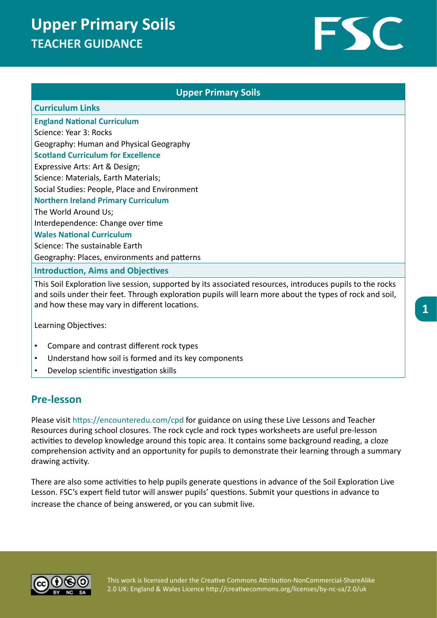# **Upper Primary Soils TEACHER GUIDANCE**



### **Upper Primary Soils Curriculum Links England National Curriculum**  Science: Year 3: Rocks Geography: Human and Physical Geography **Scotland Curriculum for Excellence** Expressive Arts: Art & Design; Science: Materials, Earth Materials; Social Studies: People, Place and Environment **Northern Ireland Primary Curriculum** The World Around Us; Interdependence: Change over time **Wales National Curriculum** Science: The sustainable Earth Geography: Places, environments and patterns **Introduction, Aims and Objectives**

This Soil Exploration live session, supported by its associated resources, introduces pupils to the rocks and soils under their feet. Through exploration pupils will learn more about the types of rock and soil, and how these may vary in different locations.

Learning Objectives:

- Compare and contrast different rock types
- Understand how soil is formed and its key components
- Develop scientific investigation skills

#### **Pre-lesson**

Please visit https://encounteredu.com/cpd for guidance on using these Live Lessons and Teacher Resources during school closures. The rock cycle and rock types worksheets are useful pre-lesson activities to develop knowledge around this topic area. It contains some background reading, a cloze comprehension activity and an opportunity for pupils to demonstrate their learning through a summary drawing activity.

There are also some activities to help pupils generate questions in advance of the Soil Exploration Live Lesson. FSC's expert field tutor will answer pupils' questions. Submit your questions in advance to increase the chance of being answered, or you can submit live.



This work is licensed under the Creative Commons Attribution-NonCommercial-ShareAlike 2.0 UK: England & Wales Licence http://creativecommons.org/licenses/by-nc-sa/2.0/uk